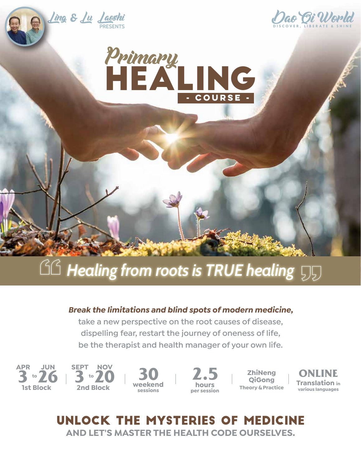

# **AG Healing from roots is TRUE healing**

### *Break the limitations and blind spots of modern medicine,*

**take a new perspective on the root causes of disease, dispelling fear, restart the journey of oneness of life, be the therapist and health manager of your own life.**

**26 JUN 1st Block**



**weekend sessions**

**2.5 hours per session**

**ZhiNeng QiGong Theory & Practice**

**ONLINE Translation in various languages**

# Unlock the mysteries of medicine **AND LET'S MASTER THE HEALTH CODE OURSELVES.**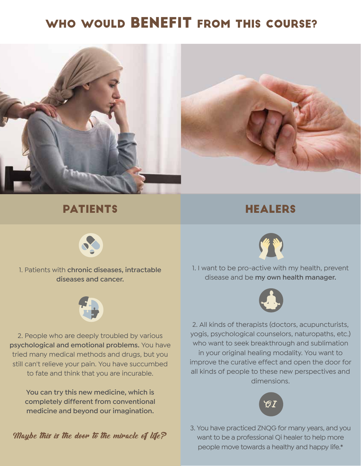# WHO WOULD BENEFIT FROM THIS COURSE?



### **PATIENTS**

### **HEALERS**



1. Patients with **chronic diseases, intractable diseases and cancer.**



2. People who are deeply troubled by various **psychological and emotional problems.** You have tried many medical methods and drugs, but you still can't relieve your pain. You have succumbed to fate and think that you are incurable.

**You can try this new medicine, which is completely different from conventional medicine and beyond our imagination.**



1. I want to be pro-active with my health, prevent disease and be **my own health manager.**



2. All kinds of therapists (doctors, acupuncturists, yogis, psychological counselors, naturopaths, etc.) who want to seek breakthrough and sublimation in your original healing modality. You want to improve the curative effect and open the door for all kinds of people to these new perspectives and dimensions.



3. You have practiced ZNQG for many years, and you want to be a professional Qi healer to help more people move towards a healthy and happy life.\*

*Maybe this is the door to the miracle of life?*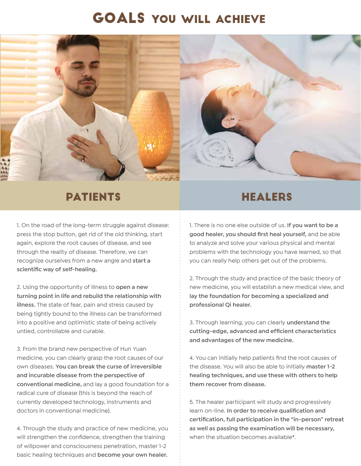# goals you will achieve



# **PATIENTS**

1. On the road of the long-term struggle against disease: press the stop button, get rid of the old thinking, start again, explore the root causes of disease, and see through the reality of disease. Therefore, we can recognize ourselves from a new angle and **start a scientific way of self-healing.**

2. Using the opportunity of illness to **open a new turning point in life and rebuild the relationship with illness.** The state of fear, pain and stress caused by being tightly bound to the illness can be transformed into a positive and optimistic state of being actively untied, controllable and curable.

3. From the brand new perspective of Hun Yuan medicine, you can clearly grasp the root causes of our own diseases. **You can break the curse of irreversible and incurable disease from the perspective of conventional medicine,** and lay a good foundation for a radical cure of disease (this is beyond the reach of currently developed technology, instruments and doctors in conventional medicine).

4. Through the study and practice of new medicine, you will strengthen the confidence, strengthen the training of willpower and consciousness penetration, master 1-2 basic healing techniques and **become your own healer.**

### **HEALERS**

1. There is no one else outside of us. **If you want to be a good healer, you should first heal yourself,** and be able to analyze and solve your various physical and mental problems with the technology you have learned, so that you can really help others get out of the problems.

2. Through the study and practice of the basic theory of new medicine, you will establish a new medical view, and **lay the foundation for becoming a specialized and professional Qi healer.**

3. Through learning, you can clearly **understand the cutting-edge, advanced and efficient characteristics and advantages of the new medicine.**

4. You can initially help patients find the root causes of the disease. You will also be able to initially **master 1-2 healing techniques, and use these with others to help them recover from disease.**

5. The healer participant will study and progressively learn on-line. **In order to receive qualification and certification, full participation in the "in-person" retreat as well as passing the examination will be necessary,**  when the situation becomes available\*.